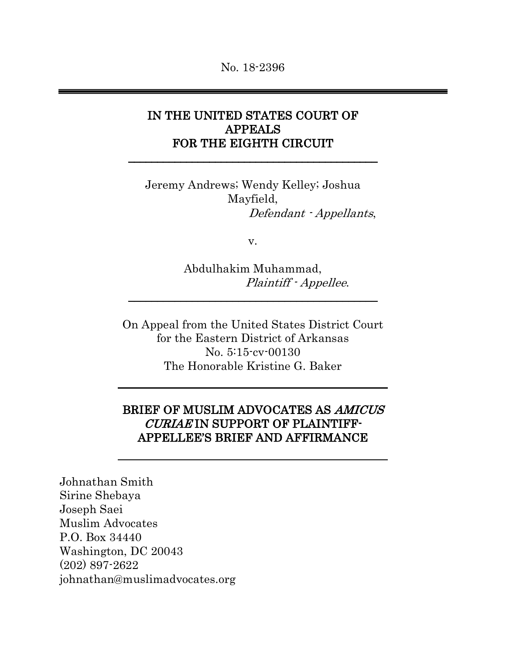# IN THE UNITED STATES COURT OF APPEALS FOR THE EIGHTH CIRCUIT

\_\_\_\_\_\_\_\_\_\_\_\_\_\_\_\_\_\_\_\_\_\_\_\_\_\_\_\_\_\_\_\_\_\_\_\_\_\_\_\_\_\_\_

Jeremy Andrews; Wendy Kelley; Joshua Mayfield, Defendant - Appellants,

v.

Abdulhakim Muhammad, Plaintiff - Appellee.

On Appeal from the United States District Court for the Eastern District of Arkansas No. 5:15-cv-00130 The Honorable Kristine G. Baker

 $\overline{\phantom{a}}$  , and the contract of the contract of the contract of the contract of the contract of the contract of the contract of the contract of the contract of the contract of the contract of the contract of the contrac

## BRIEF OF MUSLIM ADVOCATES AS AMICUS CURIAE IN SUPPORT OF PLAINTIFF-APPELLEE'S BRIEF AND AFFIRMANCE

Johnathan Smith Sirine Shebaya Joseph Saei Muslim Advocates P.O. Box 34440 Washington, DC 20043 (202) 897-2622 johnathan@muslimadvocates.org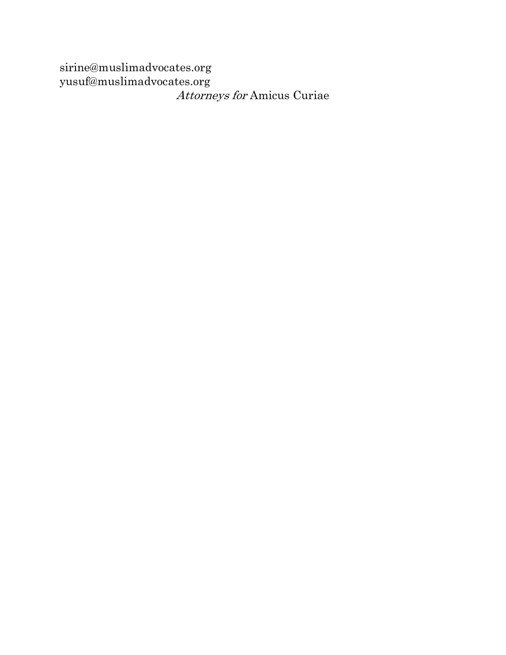sirine@muslimadvocates.org yusuf@muslimadvocates.org Attorneys for Amicus Curiae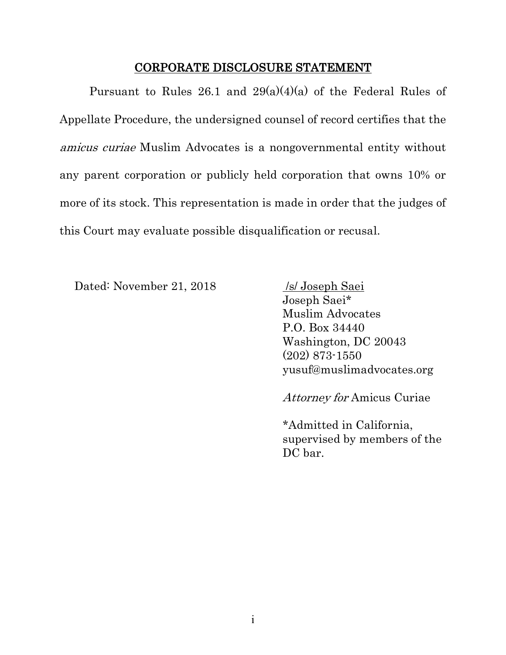#### CORPORATE DISCLOSURE STATEMENT

Pursuant to Rules 26.1 and  $29(a)(4)(a)$  of the Federal Rules of Appellate Procedure, the undersigned counsel of record certifies that the amicus curiae Muslim Advocates is a nongovernmental entity without any parent corporation or publicly held corporation that owns 10% or more of its stock. This representation is made in order that the judges of this Court may evaluate possible disqualification or recusal.

Dated: November 21, 2018 /s/ Joseph Saei

Joseph Saei\* Muslim Advocates P.O. Box 34440 Washington, DC 20043 (202) 873-1550 yusuf@muslimadvocates.org

Attorney for Amicus Curiae

\*Admitted in California, supervised by members of the DC bar.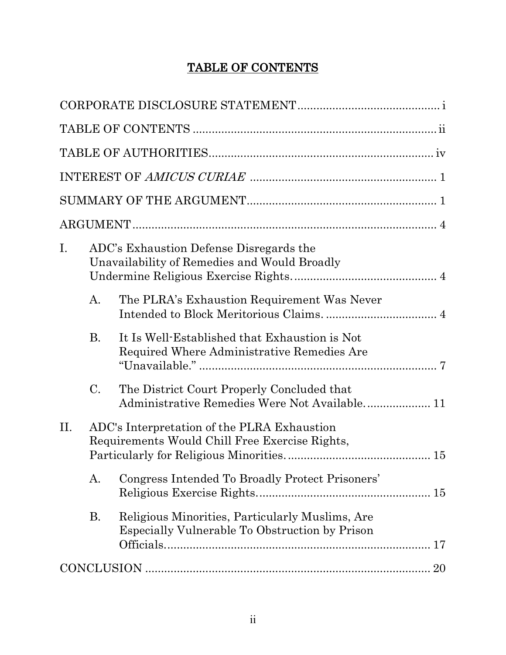# TABLE OF CONTENTS

| Ι.              | ADC's Exhaustion Defense Disregards the<br>Unavailability of Remedies and Would Broadly           |
|-----------------|---------------------------------------------------------------------------------------------------|
| A.              | The PLRA's Exhaustion Requirement Was Never                                                       |
| <b>B.</b>       | It Is Well-Established that Exhaustion is Not<br>Required Where Administrative Remedies Are       |
| $\mathcal{C}$ . | The District Court Properly Concluded that                                                        |
| П.              | ADC's Interpretation of the PLRA Exhaustion<br>Requirements Would Chill Free Exercise Rights,     |
| A.              | Congress Intended To Broadly Protect Prisoners'                                                   |
| <b>B.</b>       | Religious Minorities, Particularly Muslims, Are<br>Especially Vulnerable To Obstruction by Prison |
|                 |                                                                                                   |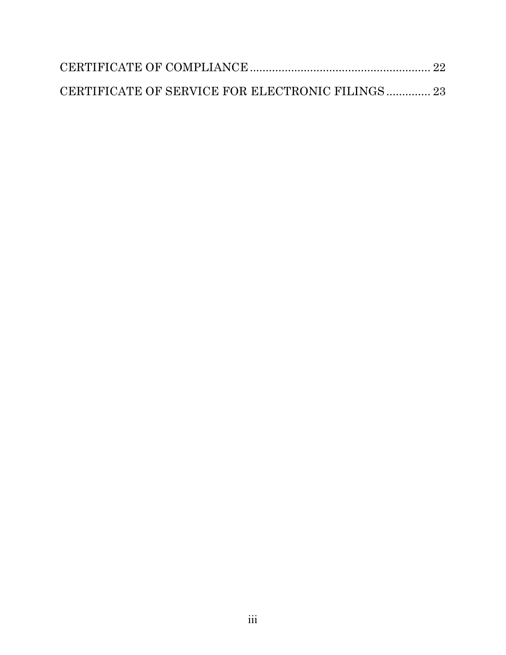| CERTIFICATE OF SERVICE FOR ELECTRONIC FILINGS 23 |  |
|--------------------------------------------------|--|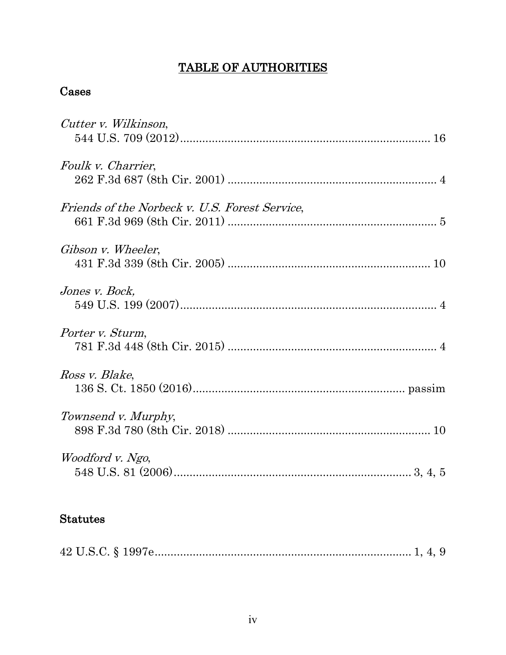# TABLE OF AUTHORITIES

# Cases

| Cutter v. Wilkinson,                           |
|------------------------------------------------|
| Foulk v. Charrier,                             |
| Friends of the Norbeck v. U.S. Forest Service, |
| Gibson v. Wheeler,                             |
| Jones v. Bock,                                 |
| Porter v. Sturm,                               |
| Ross v. Blake,                                 |
| Townsend v. Murphy,                            |
| Woodford v. Ngo,                               |
| <b>Statutes</b>                                |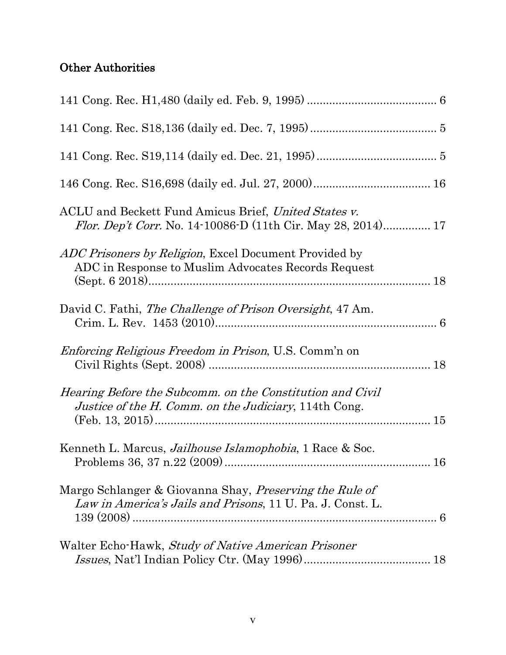# Other Authorities

| ACLU and Beckett Fund Amicus Brief, United States v.<br><i>Flor. Dep't Corr.</i> No. 14-10086-D (11th Cir. May 28, 2014) 17 |  |
|-----------------------------------------------------------------------------------------------------------------------------|--|
| <i>ADC Prisoners by Religion</i> , Excel Document Provided by<br>ADC in Response to Muslim Advocates Records Request        |  |
| David C. Fathi, The Challenge of Prison Oversight, 47 Am.                                                                   |  |
| <i>Enforcing Religious Freedom in Prison</i> , U.S. Comm'n on                                                               |  |
| Hearing Before the Subcomm. on the Constitution and Civil<br>Justice of the H. Comm. on the Judiciary, 114th Cong.          |  |
| Kenneth L. Marcus, Jailhouse Islamophobia, 1 Race & Soc.                                                                    |  |
| Margo Schlanger & Giovanna Shay, Preserving the Rule of<br>Law in America's Jails and Prisons, 11 U. Pa. J. Const. L.       |  |
| Walter Echo-Hawk, Study of Native American Prisoner                                                                         |  |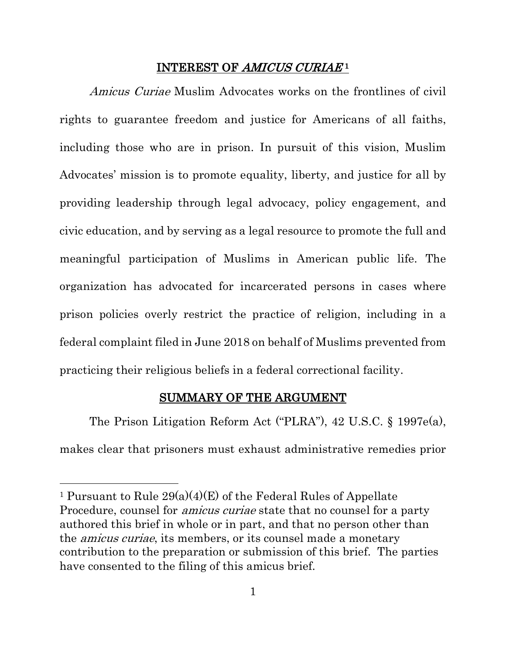#### INTEREST OF AMICUS CURIAE<sup>1</sup>

Amicus Curiae Muslim Advocates works on the frontlines of civil rights to guarantee freedom and justice for Americans of all faiths, including those who are in prison. In pursuit of this vision, Muslim Advocates' mission is to promote equality, liberty, and justice for all by providing leadership through legal advocacy, policy engagement, and civic education, and by serving as a legal resource to promote the full and meaningful participation of Muslims in American public life. The organization has advocated for incarcerated persons in cases where prison policies overly restrict the practice of religion, including in a federal complaint filed in June 2018 on behalf of Muslims prevented from practicing their religious beliefs in a federal correctional facility.

#### SUMMARY OF THE ARGUMENT

The Prison Litigation Reform Act ("PLRA"), 42 U.S.C. § 1997e(a), makes clear that prisoners must exhaust administrative remedies prior

 $\overline{a}$ 

<sup>&</sup>lt;sup>1</sup> Pursuant to Rule  $29(a)(4)(E)$  of the Federal Rules of Appellate Procedure, counsel for *amicus curiae* state that no counsel for a party authored this brief in whole or in part, and that no person other than the amicus curiae, its members, or its counsel made a monetary contribution to the preparation or submission of this brief. The parties have consented to the filing of this amicus brief.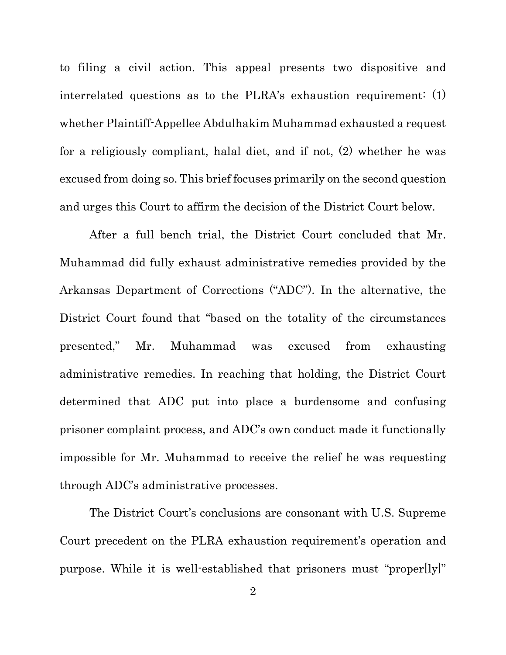to filing a civil action. This appeal presents two dispositive and interrelated questions as to the PLRA's exhaustion requirement: (1) whether Plaintiff-Appellee Abdulhakim Muhammad exhausted a request for a religiously compliant, halal diet, and if not, (2) whether he was excused from doing so. This brief focuses primarily on the second question and urges this Court to affirm the decision of the District Court below.

After a full bench trial, the District Court concluded that Mr. Muhammad did fully exhaust administrative remedies provided by the Arkansas Department of Corrections ("ADC"). In the alternative, the District Court found that "based on the totality of the circumstances presented," Mr. Muhammad was excused from exhausting administrative remedies. In reaching that holding, the District Court determined that ADC put into place a burdensome and confusing prisoner complaint process, and ADC's own conduct made it functionally impossible for Mr. Muhammad to receive the relief he was requesting through ADC's administrative processes.

The District Court's conclusions are consonant with U.S. Supreme Court precedent on the PLRA exhaustion requirement's operation and purpose. While it is well-established that prisoners must "proper[ly]"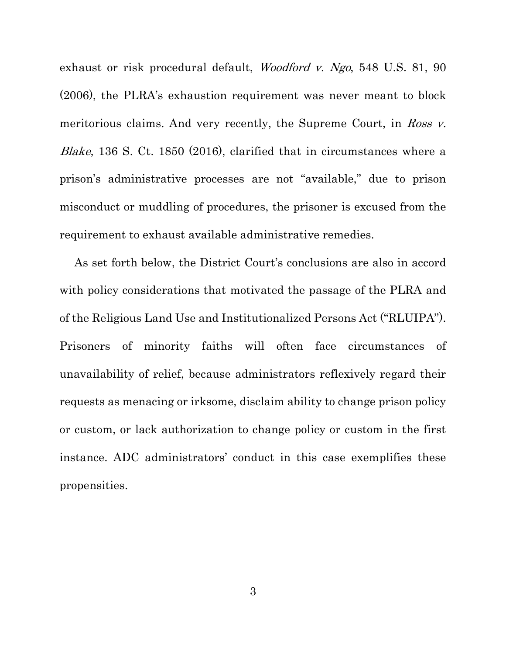exhaust or risk procedural default, *Woodford v. Ngo*, 548 U.S. 81, 90 (2006), the PLRA's exhaustion requirement was never meant to block meritorious claims. And very recently, the Supreme Court, in Ross v. Blake, 136 S. Ct. 1850 (2016), clarified that in circumstances where a prison's administrative processes are not "available," due to prison misconduct or muddling of procedures, the prisoner is excused from the requirement to exhaust available administrative remedies.

As set forth below, the District Court's conclusions are also in accord with policy considerations that motivated the passage of the PLRA and of the Religious Land Use and Institutionalized Persons Act ("RLUIPA"). Prisoners of minority faiths will often face circumstances of unavailability of relief, because administrators reflexively regard their requests as menacing or irksome, disclaim ability to change prison policy or custom, or lack authorization to change policy or custom in the first instance. ADC administrators' conduct in this case exemplifies these propensities.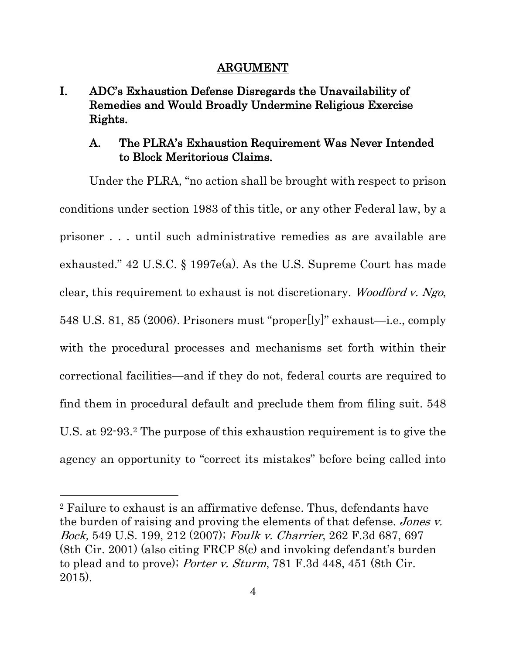### ARGUMENT

# I. ADC's Exhaustion Defense Disregards the Unavailability of Remedies and Would Broadly Undermine Religious Exercise Rights.

# A. The PLRA's Exhaustion Requirement Was Never Intended to Block Meritorious Claims.

Under the PLRA, "no action shall be brought with respect to prison conditions under section 1983 of this title, or any other Federal law, by a prisoner . . . until such administrative remedies as are available are exhausted." 42 U.S.C. § 1997e(a). As the U.S. Supreme Court has made clear, this requirement to exhaust is not discretionary. Woodford v. Ngo, 548 U.S. 81, 85 (2006). Prisoners must "proper[ly]" exhaust—i.e., comply with the procedural processes and mechanisms set forth within their correctional facilities—and if they do not, federal courts are required to find them in procedural default and preclude them from filing suit. 548 U.S. at 92-93.2 The purpose of this exhaustion requirement is to give the agency an opportunity to "correct its mistakes" before being called into

 $\overline{a}$ 

<sup>2</sup> Failure to exhaust is an affirmative defense. Thus, defendants have the burden of raising and proving the elements of that defense. Jones v. Bock, 549 U.S. 199, 212 (2007); Foulk v. Charrier, 262 F.3d 687, 697 (8th Cir. 2001) (also citing FRCP 8(c) and invoking defendant's burden to plead and to prove); *Porter v. Sturm*, 781 F.3d 448, 451 (8th Cir. 2015).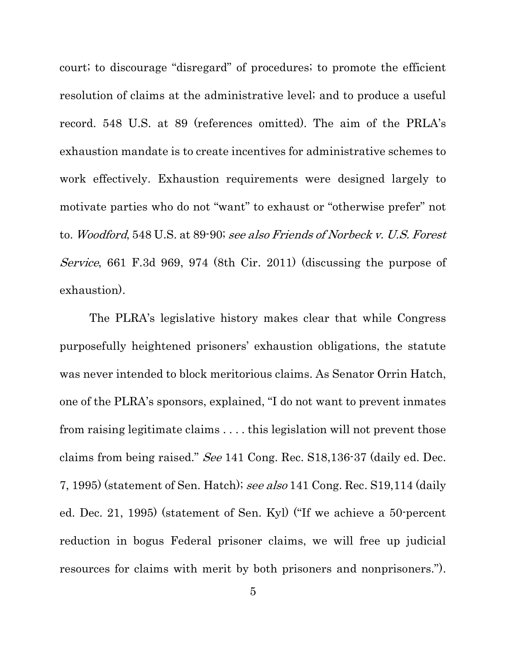court; to discourage "disregard" of procedures; to promote the efficient resolution of claims at the administrative level; and to produce a useful record. 548 U.S. at 89 (references omitted). The aim of the PRLA's exhaustion mandate is to create incentives for administrative schemes to work effectively. Exhaustion requirements were designed largely to motivate parties who do not "want" to exhaust or "otherwise prefer" not to. Woodford, 548 U.S. at 89-90; see also Friends of Norbeck v. U.S. Forest Service, 661 F.3d 969, 974 (8th Cir. 2011) (discussing the purpose of exhaustion).

The PLRA's legislative history makes clear that while Congress purposefully heightened prisoners' exhaustion obligations, the statute was never intended to block meritorious claims. As Senator Orrin Hatch, one of the PLRA's sponsors, explained, "I do not want to prevent inmates from raising legitimate claims . . . . this legislation will not prevent those claims from being raised." See 141 Cong. Rec. S18,136-37 (daily ed. Dec. 7, 1995) (statement of Sen. Hatch); see also 141 Cong. Rec. S19,114 (daily ed. Dec. 21, 1995) (statement of Sen. Kyl) ("If we achieve a 50-percent reduction in bogus Federal prisoner claims, we will free up judicial resources for claims with merit by both prisoners and nonprisoners.").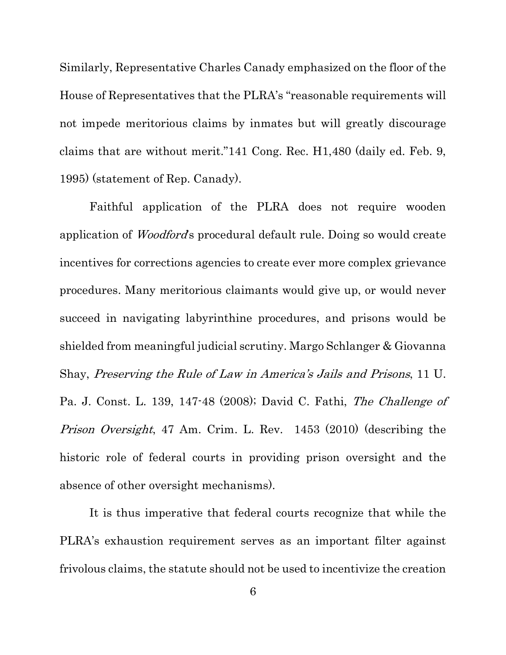Similarly, Representative Charles Canady emphasized on the floor of the House of Representatives that the PLRA's "reasonable requirements will not impede meritorious claims by inmates but will greatly discourage claims that are without merit."141 Cong. Rec. H1,480 (daily ed. Feb. 9, 1995) (statement of Rep. Canady).

Faithful application of the PLRA does not require wooden application of Woodford's procedural default rule. Doing so would create incentives for corrections agencies to create ever more complex grievance procedures. Many meritorious claimants would give up, or would never succeed in navigating labyrinthine procedures, and prisons would be shielded from meaningful judicial scrutiny. Margo Schlanger & Giovanna Shay, Preserving the Rule of Law in America's Jails and Prisons, 11 U. Pa. J. Const. L. 139, 147-48 (2008); David C. Fathi, The Challenge of Prison Oversight, 47 Am. Crim. L. Rev. 1453 (2010) (describing the historic role of federal courts in providing prison oversight and the absence of other oversight mechanisms).

It is thus imperative that federal courts recognize that while the PLRA's exhaustion requirement serves as an important filter against frivolous claims, the statute should not be used to incentivize the creation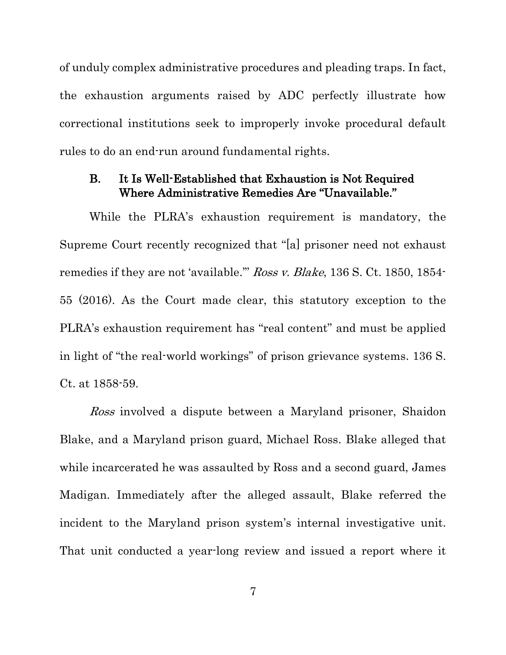of unduly complex administrative procedures and pleading traps. In fact, the exhaustion arguments raised by ADC perfectly illustrate how correctional institutions seek to improperly invoke procedural default rules to do an end-run around fundamental rights.

### B. It Is Well-Established that Exhaustion is Not Required Where Administrative Remedies Are "Unavailable."

While the PLRA's exhaustion requirement is mandatory, the Supreme Court recently recognized that "[a] prisoner need not exhaust remedies if they are not 'available.'" Ross v. Blake, 136 S. Ct. 1850, 1854- 55 (2016). As the Court made clear, this statutory exception to the PLRA's exhaustion requirement has "real content" and must be applied in light of "the real-world workings" of prison grievance systems. 136 S. Ct. at 1858-59.

Ross involved a dispute between a Maryland prisoner, Shaidon Blake, and a Maryland prison guard, Michael Ross. Blake alleged that while incarcerated he was assaulted by Ross and a second guard, James Madigan. Immediately after the alleged assault, Blake referred the incident to the Maryland prison system's internal investigative unit. That unit conducted a year-long review and issued a report where it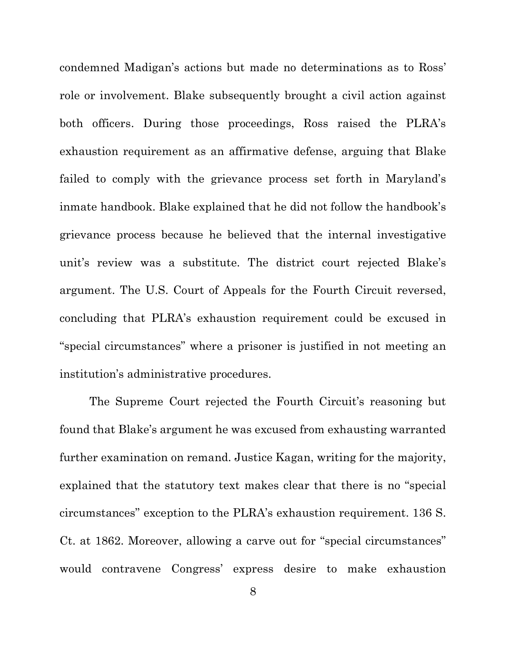condemned Madigan's actions but made no determinations as to Ross' role or involvement. Blake subsequently brought a civil action against both officers. During those proceedings, Ross raised the PLRA's exhaustion requirement as an affirmative defense, arguing that Blake failed to comply with the grievance process set forth in Maryland's inmate handbook. Blake explained that he did not follow the handbook's grievance process because he believed that the internal investigative unit's review was a substitute. The district court rejected Blake's argument. The U.S. Court of Appeals for the Fourth Circuit reversed, concluding that PLRA's exhaustion requirement could be excused in "special circumstances" where a prisoner is justified in not meeting an institution's administrative procedures.

The Supreme Court rejected the Fourth Circuit's reasoning but found that Blake's argument he was excused from exhausting warranted further examination on remand. Justice Kagan, writing for the majority, explained that the statutory text makes clear that there is no "special circumstances" exception to the PLRA's exhaustion requirement. 136 S. Ct. at 1862. Moreover, allowing a carve out for "special circumstances" would contravene Congress' express desire to make exhaustion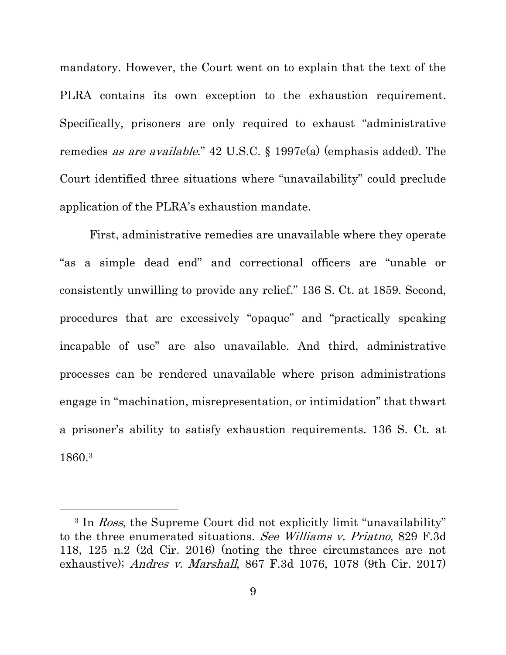mandatory. However, the Court went on to explain that the text of the PLRA contains its own exception to the exhaustion requirement. Specifically, prisoners are only required to exhaust "administrative remedies as are available." 42 U.S.C. § 1997e(a) (emphasis added). The Court identified three situations where "unavailability" could preclude application of the PLRA's exhaustion mandate.

First, administrative remedies are unavailable where they operate "as a simple dead end" and correctional officers are "unable or consistently unwilling to provide any relief." 136 S. Ct. at 1859. Second, procedures that are excessively "opaque" and "practically speaking incapable of use" are also unavailable. And third, administrative processes can be rendered unavailable where prison administrations engage in "machination, misrepresentation, or intimidation" that thwart a prisoner's ability to satisfy exhaustion requirements. 136 S. Ct. at 1860.3

 $\overline{a}$ 

<sup>&</sup>lt;sup>3</sup> In Ross, the Supreme Court did not explicitly limit "unavailability" to the three enumerated situations. See Williams v. Priatno, 829 F.3d 118, 125 n.2 (2d Cir. 2016) (noting the three circumstances are not exhaustive); Andres v. Marshall, 867 F.3d 1076, 1078 (9th Cir. 2017)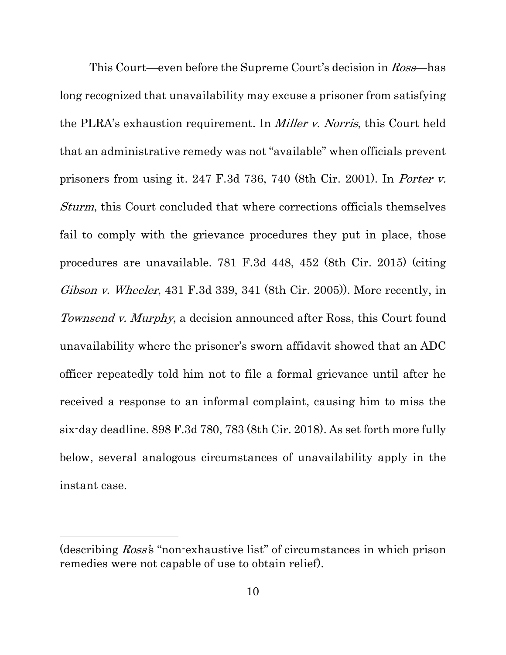This Court—even before the Supreme Court's decision in *Ross*—has long recognized that unavailability may excuse a prisoner from satisfying the PLRA's exhaustion requirement. In Miller v. Norris, this Court held that an administrative remedy was not "available" when officials prevent prisoners from using it. 247 F.3d 736, 740 (8th Cir. 2001). In Porter v. Sturm, this Court concluded that where corrections officials themselves fail to comply with the grievance procedures they put in place, those procedures are unavailable. 781 F.3d 448, 452 (8th Cir. 2015) (citing Gibson v. Wheeler, 431 F.3d 339, 341 (8th Cir. 2005)). More recently, in Townsend v. Murphy, a decision announced after Ross, this Court found unavailability where the prisoner's sworn affidavit showed that an ADC officer repeatedly told him not to file a formal grievance until after he received a response to an informal complaint, causing him to miss the six-day deadline. 898 F.3d 780, 783 (8th Cir. 2018). As set forth more fully below, several analogous circumstances of unavailability apply in the instant case.

l

<sup>(</sup>describing Ross's "non-exhaustive list" of circumstances in which prison remedies were not capable of use to obtain relief).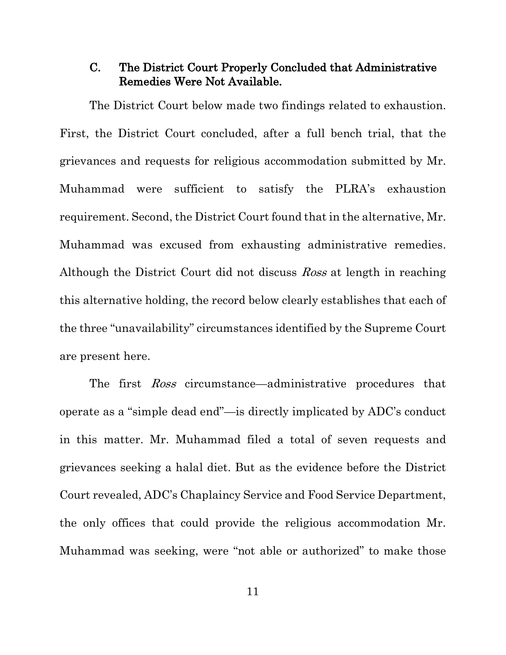### C. The District Court Properly Concluded that Administrative Remedies Were Not Available.

The District Court below made two findings related to exhaustion. First, the District Court concluded, after a full bench trial, that the grievances and requests for religious accommodation submitted by Mr. Muhammad were sufficient to satisfy the PLRA's exhaustion requirement. Second, the District Court found that in the alternative, Mr. Muhammad was excused from exhausting administrative remedies. Although the District Court did not discuss *Ross* at length in reaching this alternative holding, the record below clearly establishes that each of the three "unavailability" circumstances identified by the Supreme Court are present here.

The first Ross circumstance—administrative procedures that operate as a "simple dead end"—is directly implicated by ADC's conduct in this matter. Mr. Muhammad filed a total of seven requests and grievances seeking a halal diet. But as the evidence before the District Court revealed, ADC's Chaplaincy Service and Food Service Department, the only offices that could provide the religious accommodation Mr. Muhammad was seeking, were "not able or authorized" to make those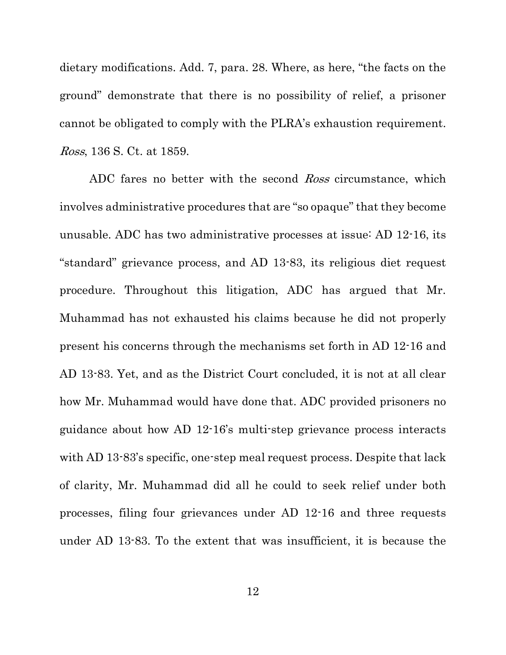dietary modifications. Add. 7, para. 28. Where, as here, "the facts on the ground" demonstrate that there is no possibility of relief, a prisoner cannot be obligated to comply with the PLRA's exhaustion requirement. Ross, 136 S. Ct. at 1859.

ADC fares no better with the second *Ross* circumstance, which involves administrative procedures that are "so opaque" that they become unusable. ADC has two administrative processes at issue: AD 12-16, its "standard" grievance process, and AD 13-83, its religious diet request procedure. Throughout this litigation, ADC has argued that Mr. Muhammad has not exhausted his claims because he did not properly present his concerns through the mechanisms set forth in AD 12-16 and AD 13-83. Yet, and as the District Court concluded, it is not at all clear how Mr. Muhammad would have done that. ADC provided prisoners no guidance about how AD 12-16's multi-step grievance process interacts with AD 13-83's specific, one-step meal request process. Despite that lack of clarity, Mr. Muhammad did all he could to seek relief under both processes, filing four grievances under AD 12-16 and three requests under AD 13-83. To the extent that was insufficient, it is because the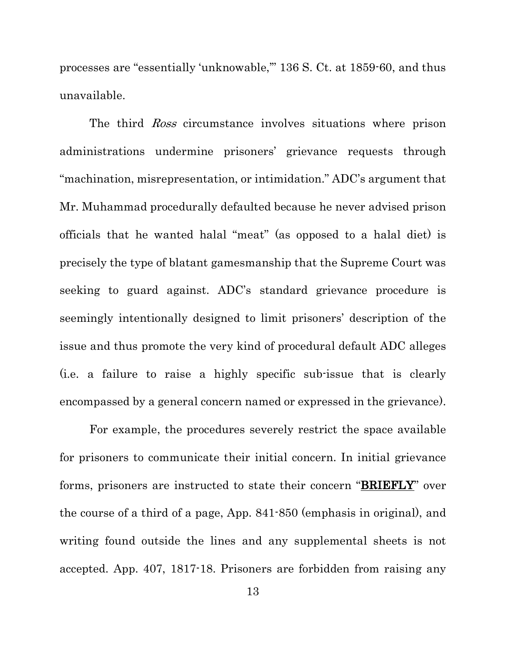processes are "essentially 'unknowable,'" 136 S. Ct. at 1859-60, and thus unavailable.

The third *Ross* circumstance involves situations where prison administrations undermine prisoners' grievance requests through "machination, misrepresentation, or intimidation." ADC's argument that Mr. Muhammad procedurally defaulted because he never advised prison officials that he wanted halal "meat" (as opposed to a halal diet) is precisely the type of blatant gamesmanship that the Supreme Court was seeking to guard against. ADC's standard grievance procedure is seemingly intentionally designed to limit prisoners' description of the issue and thus promote the very kind of procedural default ADC alleges (i.e. a failure to raise a highly specific sub-issue that is clearly encompassed by a general concern named or expressed in the grievance).

For example, the procedures severely restrict the space available for prisoners to communicate their initial concern. In initial grievance forms, prisoners are instructed to state their concern "BRIEFLY" over the course of a third of a page, App. 841-850 (emphasis in original), and writing found outside the lines and any supplemental sheets is not accepted. App. 407, 1817-18. Prisoners are forbidden from raising any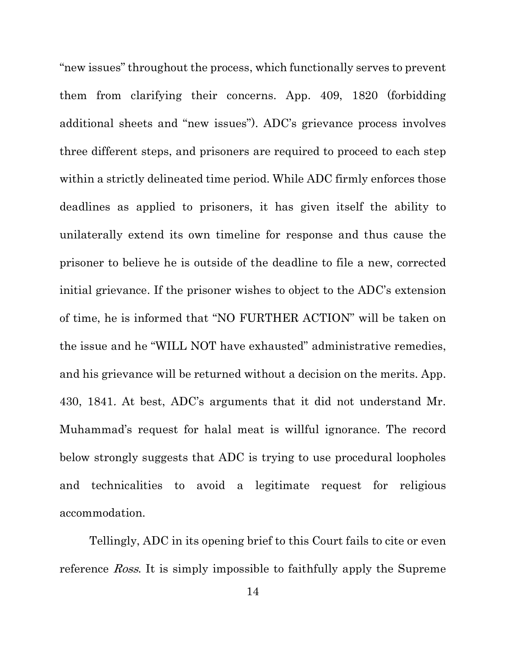"new issues" throughout the process, which functionally serves to prevent them from clarifying their concerns. App. 409, 1820 (forbidding additional sheets and "new issues"). ADC's grievance process involves three different steps, and prisoners are required to proceed to each step within a strictly delineated time period. While ADC firmly enforces those deadlines as applied to prisoners, it has given itself the ability to unilaterally extend its own timeline for response and thus cause the prisoner to believe he is outside of the deadline to file a new, corrected initial grievance. If the prisoner wishes to object to the ADC's extension of time, he is informed that "NO FURTHER ACTION" will be taken on the issue and he "WILL NOT have exhausted" administrative remedies, and his grievance will be returned without a decision on the merits. App. 430, 1841. At best, ADC's arguments that it did not understand Mr. Muhammad's request for halal meat is willful ignorance. The record below strongly suggests that ADC is trying to use procedural loopholes and technicalities to avoid a legitimate request for religious accommodation.

Tellingly, ADC in its opening brief to this Court fails to cite or even reference Ross. It is simply impossible to faithfully apply the Supreme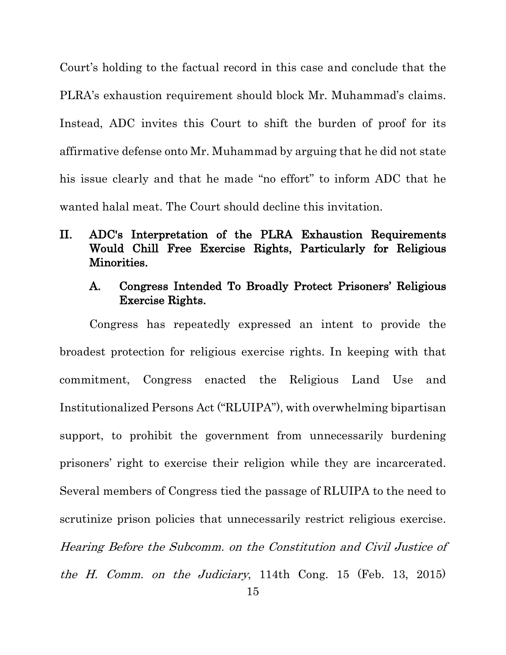Court's holding to the factual record in this case and conclude that the PLRA's exhaustion requirement should block Mr. Muhammad's claims. Instead, ADC invites this Court to shift the burden of proof for its affirmative defense onto Mr. Muhammad by arguing that he did not state his issue clearly and that he made "no effort" to inform ADC that he wanted halal meat. The Court should decline this invitation.

## II. ADC's Interpretation of the PLRA Exhaustion Requirements Would Chill Free Exercise Rights, Particularly for Religious Minorities.

### A. Congress Intended To Broadly Protect Prisoners' Religious Exercise Rights.

Congress has repeatedly expressed an intent to provide the broadest protection for religious exercise rights. In keeping with that commitment, Congress enacted the Religious Land Use and Institutionalized Persons Act ("RLUIPA"), with overwhelming bipartisan support, to prohibit the government from unnecessarily burdening prisoners' right to exercise their religion while they are incarcerated. Several members of Congress tied the passage of RLUIPA to the need to scrutinize prison policies that unnecessarily restrict religious exercise. Hearing Before the Subcomm. on the Constitution and Civil Justice of the H. Comm. on the Judiciary, 114th Cong. 15 (Feb. 13, 2015)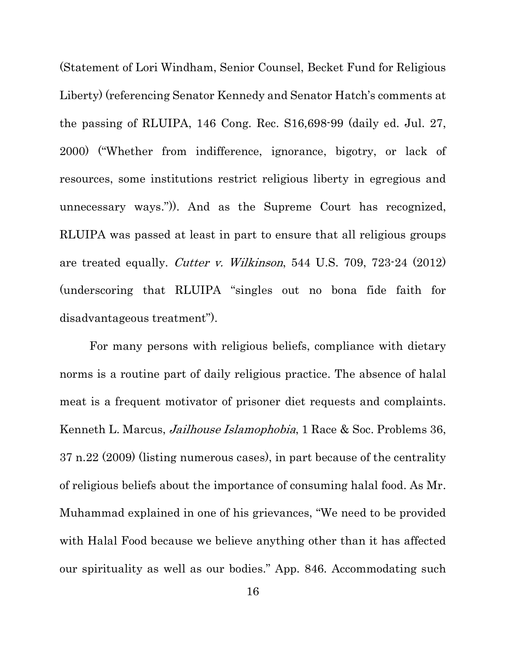(Statement of Lori Windham, Senior Counsel, Becket Fund for Religious Liberty) (referencing Senator Kennedy and Senator Hatch's comments at the passing of RLUIPA, 146 Cong. Rec. S16,698-99 (daily ed. Jul. 27, 2000) ("Whether from indifference, ignorance, bigotry, or lack of resources, some institutions restrict religious liberty in egregious and unnecessary ways.")). And as the Supreme Court has recognized, RLUIPA was passed at least in part to ensure that all religious groups are treated equally. Cutter v. Wilkinson, 544 U.S. 709, 723-24 (2012) (underscoring that RLUIPA "singles out no bona fide faith for disadvantageous treatment").

For many persons with religious beliefs, compliance with dietary norms is a routine part of daily religious practice. The absence of halal meat is a frequent motivator of prisoner diet requests and complaints. Kenneth L. Marcus, Jailhouse Islamophobia, 1 Race & Soc. Problems 36, 37 n.22 (2009) (listing numerous cases), in part because of the centrality of religious beliefs about the importance of consuming halal food. As Mr. Muhammad explained in one of his grievances, "We need to be provided with Halal Food because we believe anything other than it has affected our spirituality as well as our bodies." App. 846. Accommodating such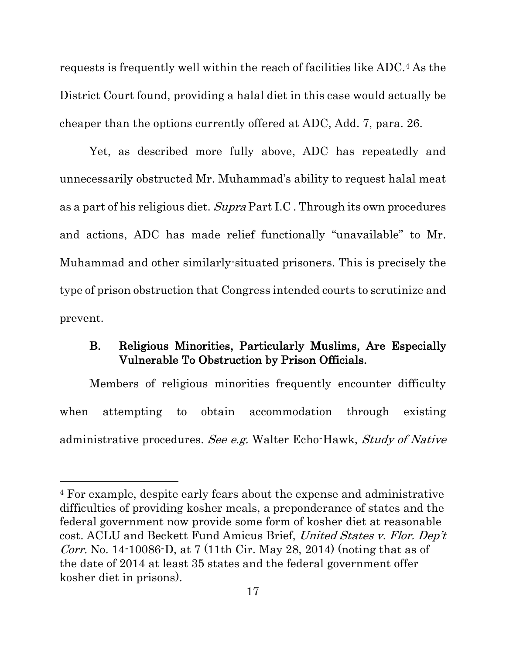requests is frequently well within the reach of facilities like ADC.4 As the District Court found, providing a halal diet in this case would actually be cheaper than the options currently offered at ADC, Add. 7, para. 26.

Yet, as described more fully above, ADC has repeatedly and unnecessarily obstructed Mr. Muhammad's ability to request halal meat as a part of his religious diet. Supra Part I.C. Through its own procedures and actions, ADC has made relief functionally "unavailable" to Mr. Muhammad and other similarly-situated prisoners. This is precisely the type of prison obstruction that Congress intended courts to scrutinize and prevent.

### B. Religious Minorities, Particularly Muslims, Are Especially Vulnerable To Obstruction by Prison Officials.

Members of religious minorities frequently encounter difficulty when attempting to obtain accommodation through existing administrative procedures. See e.g. Walter Echo-Hawk, Study of Native

 $\overline{a}$ 

<sup>4</sup> For example, despite early fears about the expense and administrative difficulties of providing kosher meals, a preponderance of states and the federal government now provide some form of kosher diet at reasonable cost. ACLU and Beckett Fund Amicus Brief, United States v. Flor. Dep't Corr. No. 14-10086-D, at 7 (11th Cir. May 28, 2014) (noting that as of the date of 2014 at least 35 states and the federal government offer kosher diet in prisons).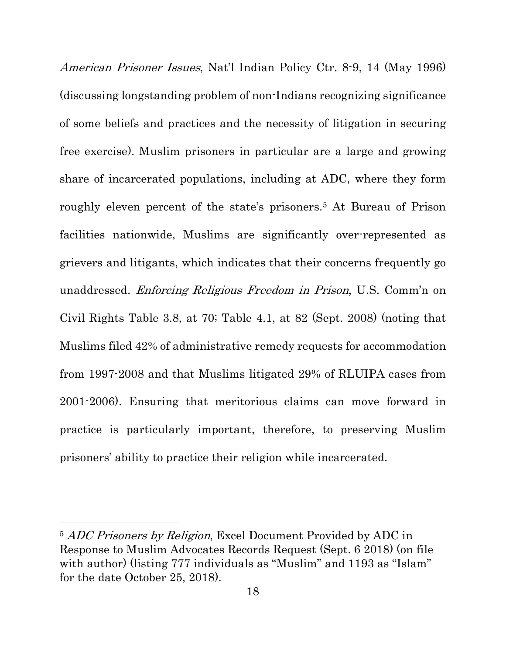American Prisoner Issues, Nat'l Indian Policy Ctr. 8-9, 14 (May 1996) (discussing longstanding problem of non-Indians recognizing significance of some beliefs and practices and the necessity of litigation in securing free exercise). Muslim prisoners in particular are a large and growing share of incarcerated populations, including at ADC, where they form roughly eleven percent of the state's prisoners.5 At Bureau of Prison facilities nationwide, Muslims are significantly over-represented as grievers and litigants, which indicates that their concerns frequently go unaddressed. Enforcing Religious Freedom in Prison, U.S. Comm'n on Civil Rights Table 3.8, at 70; Table 4.1, at 82 (Sept. 2008) (noting that Muslims filed 42% of administrative remedy requests for accommodation from 1997-2008 and that Muslims litigated 29% of RLUIPA cases from 2001-2006). Ensuring that meritorious claims can move forward in practice is particularly important, therefore, to preserving Muslim prisoners' ability to practice their religion while incarcerated.

 $\overline{a}$ 

<sup>&</sup>lt;sup>5</sup> ADC Prisoners by Religion, Excel Document Provided by ADC in Response to Muslim Advocates Records Request (Sept. 6 2018) (on file with author) (listing 777 individuals as "Muslim" and 1193 as "Islam" for the date October 25, 2018).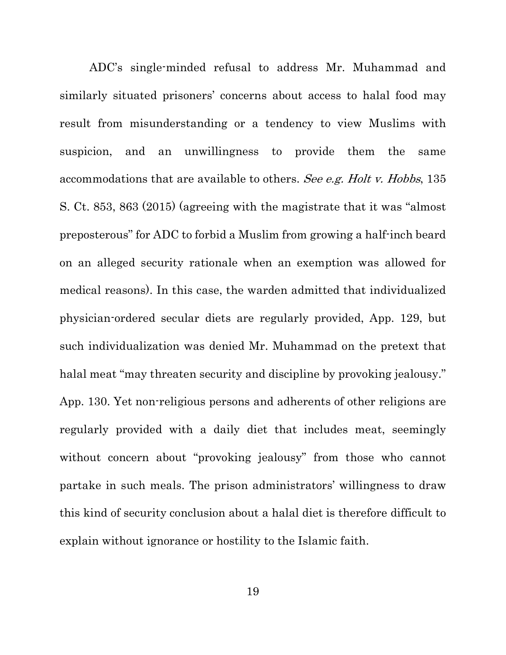ADC's single-minded refusal to address Mr. Muhammad and similarly situated prisoners' concerns about access to halal food may result from misunderstanding or a tendency to view Muslims with suspicion, and an unwillingness to provide them the same accommodations that are available to others. See e.g. Holt v. Hobbs, 135 S. Ct. 853, 863 (2015) (agreeing with the magistrate that it was "almost preposterous" for ADC to forbid a Muslim from growing a half-inch beard on an alleged security rationale when an exemption was allowed for medical reasons). In this case, the warden admitted that individualized physician-ordered secular diets are regularly provided, App. 129, but such individualization was denied Mr. Muhammad on the pretext that halal meat "may threaten security and discipline by provoking jealousy." App. 130. Yet non-religious persons and adherents of other religions are regularly provided with a daily diet that includes meat, seemingly without concern about "provoking jealousy" from those who cannot partake in such meals. The prison administrators' willingness to draw this kind of security conclusion about a halal diet is therefore difficult to explain without ignorance or hostility to the Islamic faith.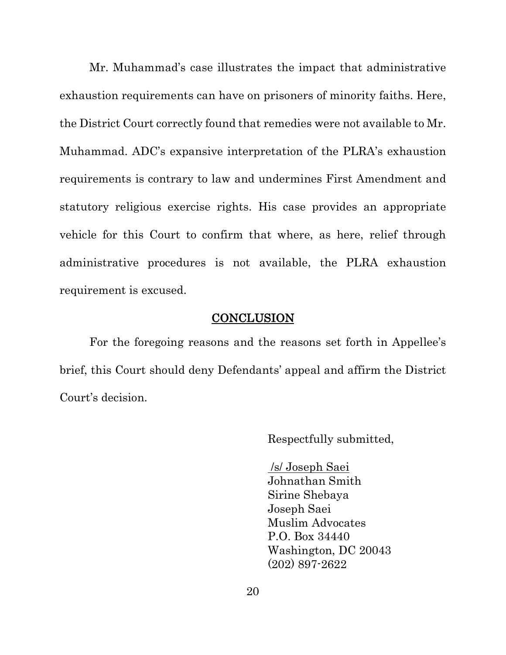Mr. Muhammad's case illustrates the impact that administrative exhaustion requirements can have on prisoners of minority faiths. Here, the District Court correctly found that remedies were not available to Mr. Muhammad. ADC's expansive interpretation of the PLRA's exhaustion requirements is contrary to law and undermines First Amendment and statutory religious exercise rights. His case provides an appropriate vehicle for this Court to confirm that where, as here, relief through administrative procedures is not available, the PLRA exhaustion requirement is excused.

#### CONCLUSION

For the foregoing reasons and the reasons set forth in Appellee's brief, this Court should deny Defendants' appeal and affirm the District Court's decision.

Respectfully submitted,

/s/ Joseph Saei Johnathan Smith Sirine Shebaya Joseph Saei Muslim Advocates P.O. Box 34440 Washington, DC 20043 (202) 897-2622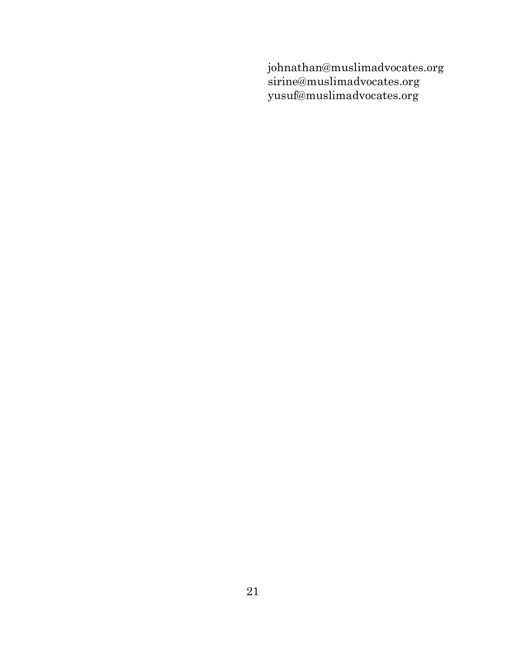johnathan@muslimadvocates.org sirine@muslimadvocates.org yusuf@muslimadvocates.org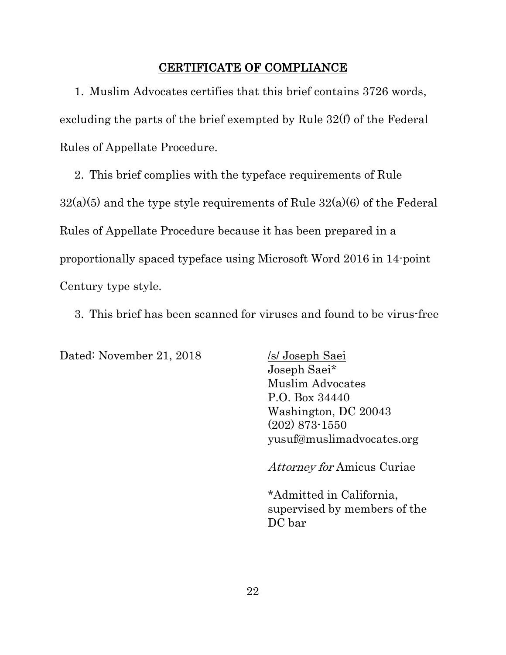### CERTIFICATE OF COMPLIANCE

1. Muslim Advocates certifies that this brief contains 3726 words, excluding the parts of the brief exempted by Rule 32(f) of the Federal Rules of Appellate Procedure.

2. This brief complies with the typeface requirements of Rule  $32(a)(5)$  and the type style requirements of Rule  $32(a)(6)$  of the Federal Rules of Appellate Procedure because it has been prepared in a proportionally spaced typeface using Microsoft Word 2016 in 14-point Century type style.

3. This brief has been scanned for viruses and found to be virus-free

Dated: November 21, 2018 /s/ Joseph Saei

Joseph Saei\* Muslim Advocates P.O. Box 34440 Washington, DC 20043 (202) 873-1550 yusuf@muslimadvocates.org

Attorney for Amicus Curiae

\*Admitted in California, supervised by members of the DC bar